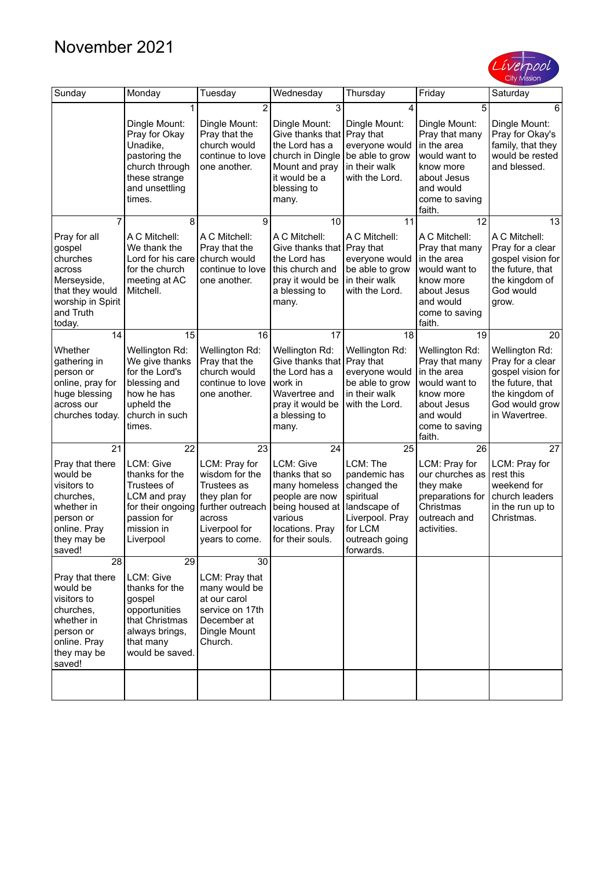## November 2021



| Sunday                                                                                                                      | Monday                                                                                                                          | Tuesday                                                                                                                          | Wednesday                                                                                                                                            | Thursday                                                                                                                          | Friday                                                                                                                                     | Saturday                                                                                                                         |
|-----------------------------------------------------------------------------------------------------------------------------|---------------------------------------------------------------------------------------------------------------------------------|----------------------------------------------------------------------------------------------------------------------------------|------------------------------------------------------------------------------------------------------------------------------------------------------|-----------------------------------------------------------------------------------------------------------------------------------|--------------------------------------------------------------------------------------------------------------------------------------------|----------------------------------------------------------------------------------------------------------------------------------|
|                                                                                                                             | 1                                                                                                                               | $\overline{2}$                                                                                                                   | 3                                                                                                                                                    | 4                                                                                                                                 | 5                                                                                                                                          | 6                                                                                                                                |
| 7                                                                                                                           | Dingle Mount:<br>Pray for Okay<br>Unadike,<br>pastoring the<br>church through<br>these strange<br>and unsettling<br>times.<br>8 | Dingle Mount:<br>Pray that the<br>church would<br>continue to love<br>one another.<br>9                                          | Dingle Mount:<br>Give thanks that   Pray that<br>the Lord has a<br>church in Dingle<br>Mount and pray<br>it would be a<br>blessing to<br>many.<br>10 | Dingle Mount:<br>everyone would<br>be able to grow<br>in their walk<br>with the Lord.<br>11                                       | Dingle Mount:<br>Pray that many<br>in the area<br>would want to<br>know more<br>about Jesus<br>and would<br>come to saving<br>faith.<br>12 | Dingle Mount:<br>Pray for Okay's<br>family, that they<br>would be rested<br>and blessed.<br>13                                   |
|                                                                                                                             |                                                                                                                                 |                                                                                                                                  |                                                                                                                                                      |                                                                                                                                   |                                                                                                                                            |                                                                                                                                  |
| Pray for all<br>gospel<br>churches<br>across<br>Merseyside,<br>that they would<br>worship in Spirit<br>and Truth<br>today.  | A C Mitchell:<br>We thank the<br>Lord for his care<br>for the church<br>meeting at AC<br>Mitchell.                              | A C Mitchell:<br>Pray that the<br>church would<br>continue to love<br>one another.                                               | A C Mitchell:<br>Give thanks that   Pray that<br>the Lord has<br>this church and<br>pray it would be<br>a blessing to<br>many.                       | A C Mitchell:<br>everyone would<br>be able to grow<br>in their walk<br>with the Lord.                                             | A C Mitchell:<br>Pray that many<br>in the area<br>would want to<br>know more<br>about Jesus<br>and would<br>come to saving<br>faith.       | A C Mitchell:<br>Pray for a clear<br>gospel vision for<br>the future, that<br>the kingdom of<br>God would<br>grow.               |
| 14                                                                                                                          | 15                                                                                                                              | 16                                                                                                                               | 17                                                                                                                                                   | 18                                                                                                                                | 19                                                                                                                                         | 20                                                                                                                               |
| Whether<br>gathering in<br>person or<br>online, pray for<br>huge blessing<br>across our<br>churches today.                  | Wellington Rd:<br>We give thanks<br>for the Lord's<br>blessing and<br>how he has<br>upheld the<br>church in such<br>times.      | Wellington Rd:<br>Pray that the<br>church would<br>continue to love<br>one another.                                              | Wellington Rd:<br>Give thanks that   Pray that<br>the Lord has a<br>work in<br>Wavertree and<br>pray it would be<br>a blessing to<br>many.           | Wellington Rd:<br>everyone would<br>be able to grow<br>in their walk<br>with the Lord.                                            | Wellington Rd:<br>Pray that many<br>in the area<br>would want to<br>know more<br>about Jesus<br>and would<br>come to saving<br>faith.      | Wellington Rd:<br>Pray for a clear<br>gospel vision for<br>the future, that<br>the kingdom of<br>God would grow<br>in Wavertree. |
| $\overline{21}$                                                                                                             | 22                                                                                                                              | 23                                                                                                                               | $\overline{24}$                                                                                                                                      | 25                                                                                                                                | 26                                                                                                                                         | 27                                                                                                                               |
| Pray that there<br>would be<br>visitors to<br>churches.<br>whether in<br>person or<br>online. Pray<br>they may be<br>saved! | LCM: Give<br>thanks for the<br>Trustees of<br>LCM and pray<br>for their ongoing<br>passion for<br>mission in<br>Liverpool       | LCM: Pray for<br>wisdom for the<br>Trustees as<br>they plan for<br>further outreach<br>across<br>Liverpool for<br>years to come. | LCM: Give<br>thanks that so<br>many homeless<br>people are now<br>being housed at<br>various<br>locations. Pray<br>for their souls.                  | LCM: The<br>pandemic has<br>changed the<br>spiritual<br>landscape of<br>Liverpool. Pray<br>for LCM<br>outreach going<br>forwards. | LCM: Pray for<br>our churches as<br>they make<br>preparations for<br>Christmas<br>outreach and<br>activities.                              | LCM: Pray for<br>rest this<br>weekend for<br>church leaders<br>in the run up to<br>Christmas.                                    |
| 28                                                                                                                          | $\overline{29}$                                                                                                                 | 30                                                                                                                               |                                                                                                                                                      |                                                                                                                                   |                                                                                                                                            |                                                                                                                                  |
| Pray that there<br>would be<br>visitors to<br>churches,<br>whether in<br>person or<br>online. Pray<br>they may be<br>saved! | LCM: Give<br>thanks for the<br>gospel<br>opportunities<br>that Christmas<br>always brings,<br>that many<br>would be saved.      | LCM: Pray that<br>many would be<br>at our carol<br>service on 17th<br>December at<br>Dingle Mount<br>Church.                     |                                                                                                                                                      |                                                                                                                                   |                                                                                                                                            |                                                                                                                                  |
|                                                                                                                             |                                                                                                                                 |                                                                                                                                  |                                                                                                                                                      |                                                                                                                                   |                                                                                                                                            |                                                                                                                                  |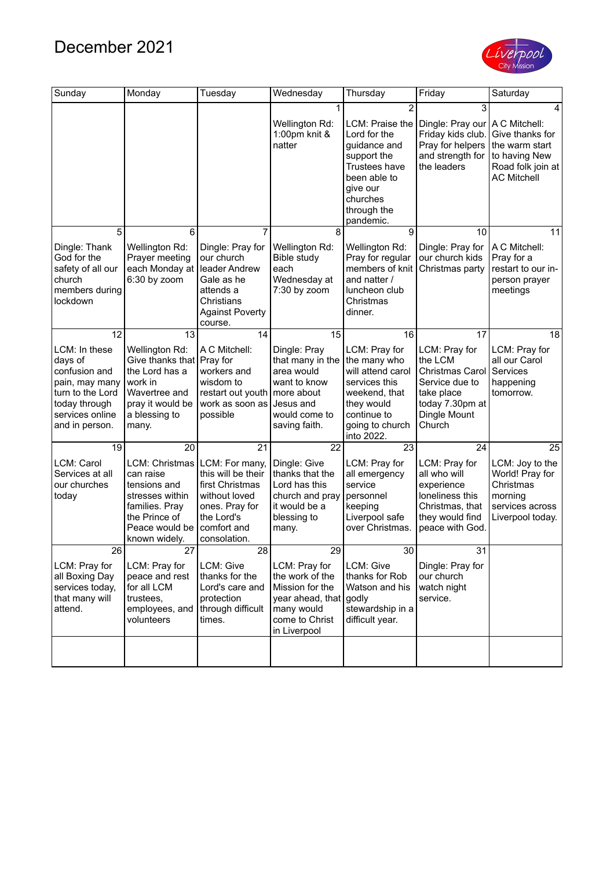

| Sunday                                                                                                                                                   | Monday                                                                                                                               | Tuesday                                                                                                                                 | Wednesday                                                                                                                     | Thursday                                                                                                                                                                                                                            | Friday                                                                                                                                                            | Saturday                                                                                                                                                                       |
|----------------------------------------------------------------------------------------------------------------------------------------------------------|--------------------------------------------------------------------------------------------------------------------------------------|-----------------------------------------------------------------------------------------------------------------------------------------|-------------------------------------------------------------------------------------------------------------------------------|-------------------------------------------------------------------------------------------------------------------------------------------------------------------------------------------------------------------------------------|-------------------------------------------------------------------------------------------------------------------------------------------------------------------|--------------------------------------------------------------------------------------------------------------------------------------------------------------------------------|
| 5<br>Dingle: Thank<br>God for the<br>safety of all our                                                                                                   | 6<br>Wellington Rd:<br>Prayer meeting<br>each Monday at                                                                              | $\overline{7}$<br>Dingle: Pray for<br>our church<br>leader Andrew                                                                       | 1<br>Wellington Rd:<br>1:00pm knit &<br>natter<br>$\overline{8}$<br>Wellington Rd:<br><b>Bible study</b><br>each              | $\overline{2}$<br>LCM: Praise the<br>Lord for the<br>guidance and<br>support the<br>Trustees have<br>been able to<br>give our<br>churches<br>through the<br>pandemic.<br>9<br>Wellington Rd:<br>Pray for regular<br>members of knit | 3<br>Dingle: Pray our<br>Friday kids club.<br>Pray for helpers<br>and strength for<br>the leaders<br>10<br>Dingle: Pray for<br>our church kids<br>Christmas party | 4<br>A C Mitchell:<br>Give thanks for<br>the warm start<br>to having New<br>Road folk join at<br><b>AC Mitchell</b><br>11<br>A C Mitchell:<br>Pray for a<br>restart to our in- |
| church<br>members during<br>lockdown                                                                                                                     | 6:30 by zoom                                                                                                                         | Gale as he<br>attends a<br>Christians<br><b>Against Poverty</b><br>course.                                                              | Wednesday at<br>7:30 by zoom                                                                                                  | and natter /<br>luncheon club<br>Christmas<br>dinner.                                                                                                                                                                               |                                                                                                                                                                   | person prayer<br>meetings                                                                                                                                                      |
| $\overline{12}$<br>LCM: In these<br>days of<br>confusion and<br>pain, may many<br>turn to the Lord<br>today through<br>services online<br>and in person. | 13<br>Wellington Rd:<br>Give thanks that<br>the Lord has a<br>work in<br>Wavertree and<br>pray it would be<br>a blessing to<br>many. | 14<br>A C Mitchell:<br>Pray for<br>workers and<br>wisdom to<br>restart out youth   more about<br>work as soon as<br>possible            | 15<br>Dingle: Pray<br>that many in the<br>area would<br>want to know<br>Jesus and<br>would come to<br>saving faith.           | 16<br>LCM: Pray for<br>the many who<br>will attend carol<br>services this<br>weekend, that<br>they would<br>continue to<br>going to church<br>into 2022.                                                                            | 17<br>LCM: Pray for<br>the LCM<br>Christmas Carol<br>Service due to<br>take place<br>today 7.30pm at<br>Dingle Mount<br>Church                                    | 18<br>LCM: Pray for<br>all our Carol<br>Services<br>happening<br>tomorrow.                                                                                                     |
| $\overline{19}$                                                                                                                                          | $\overline{20}$                                                                                                                      | 21                                                                                                                                      | $\overline{22}$                                                                                                               | 23                                                                                                                                                                                                                                  | 24                                                                                                                                                                | 25                                                                                                                                                                             |
| LCM: Carol<br>Services at all<br>our churches<br>today                                                                                                   | LCM: Christmas<br>can raise<br>tensions and<br>stresses within<br>families. Pray<br>the Prince of<br>Peace would be<br>known widely. | LCM: For many,<br>this will be their<br>first Christmas<br>without loved<br>ones. Pray for<br>the Lord's<br>comfort and<br>consolation. | Dingle: Give<br>thanks that the<br>Lord has this<br>church and pray<br>it would be a<br>blessing to<br>many.                  | LCM: Pray for<br>all emergency<br>service<br>personnel<br>keeping<br>Liverpool safe<br>over Christmas.                                                                                                                              | LCM: Pray for<br>all who will<br>experience<br>loneliness this<br>Christmas, that<br>they would find<br>peace with God.                                           | LCM: Joy to the<br>World! Pray for<br>Christmas<br>morning<br>services across<br>Liverpool today.                                                                              |
| 26                                                                                                                                                       | 27                                                                                                                                   | 28                                                                                                                                      | 29                                                                                                                            | 30                                                                                                                                                                                                                                  | 31                                                                                                                                                                |                                                                                                                                                                                |
| LCM: Pray for<br>all Boxing Day<br>services today,<br>that many will<br>attend.                                                                          | LCM: Pray for<br>peace and rest<br>for all LCM<br>trustees,<br>employees, and<br>volunteers                                          | LCM: Give<br>thanks for the<br>Lord's care and<br>protection<br>through difficult<br>times.                                             | LCM: Pray for<br>the work of the<br>Mission for the<br>year ahead, that godly<br>many would<br>come to Christ<br>in Liverpool | LCM: Give<br>thanks for Rob<br>Watson and his<br>stewardship in a<br>difficult year.                                                                                                                                                | Dingle: Pray for<br>our church<br>watch night<br>service.                                                                                                         |                                                                                                                                                                                |
|                                                                                                                                                          |                                                                                                                                      |                                                                                                                                         |                                                                                                                               |                                                                                                                                                                                                                                     |                                                                                                                                                                   |                                                                                                                                                                                |